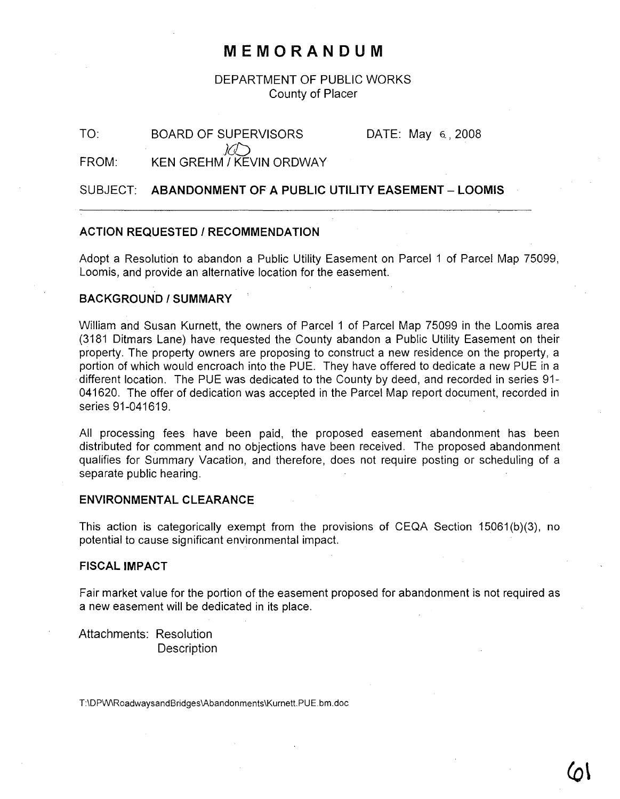## **MEMORANDUM**

## DEPARTMENT OF PUBLIC WORKS County of Placer

TO:

DATE: May 6\_, 2008

FROM: ) $\bigcirc$ KEN GREHM / KEVIN ORDWAY

BOARD OF SUPERVISORS

SUBJECT: **ABANDONMENT OF A PUBLIC UTILITY EASEMENT - LOOMIS**

## **ACTION REQUESTED / RECOMMENDATION**

Adopt a Resolution to abandon a Public Utility Easement on Parcel 1 of Parcel Map 75099, Loomis, and provide an alternative location for the easement.

## **BACKGROUND/SUMMARY**

William and Susan Kurnett, the owners of Parcel 1 of Parcel Map 75099 in the Loomis area (3181 Ditmars Lane) have requested the County abandon a Public Utility Easement on their property. The property owners are proposing to construct a new residence on the property, a portion of which would encroach into the PUE. They have offered to dedicate a new PUE in a different location. The PUE was dedicated to the County by deed, and recorded in series 91- 041620. The offer of dedication was accepted in the Parcel Map report document, recorded in series 91-041619.

All processing fees have been paid, the proposed easement abandonment has been distributed for comment and no objections have been received. The proposed abandonment qualifies for Summary Vacation, and therefore, does not require posting or scheduling of a separate public hearing.

## ENVIRONMENTAL CLEARANCE

This action is categorically exempt from the provisions of CEQA Section 15061(b)(3), no potential to cause significant environmental impact.

## **FISCAL IMPACT**

Fair market value for the portion of the easement proposed for abandonment is not required as a new easement will be dedicated in its place.

Attachments: Resolution **Description** 

T:\DPW\RoadwaysandBridges\Abandonments\Kurnett.PUE.bm.doc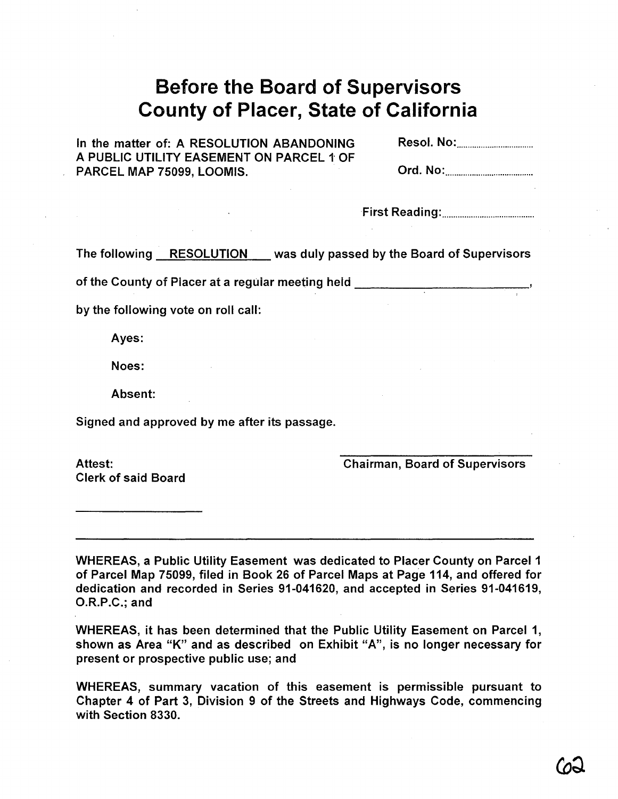# **Before the Board of Supervisors County of Placer, State of California**

In the matter of: A RESOLUTION ABANDONING A PUBLIC UTILITY EASEMENT ON PARCEL 1 OF PARCEL MAP 75099, LOOMIS.

·First Reading: .

The following RESOLUTION was duly passed by the Board of Supervisors

of the County of Placer at a regular meeting held \_

by the following vote on roll call:

Ayes:

Noes:

Absent:

Signed and approved by me after its passage.

Attest: Clerk of said Board Chairman, Board of Supervisors

WHEREAS, a Public Utility Easement was dedicated to Placer County on Parcel 1 of Parcel Map 75099, filed in Book 26 of Parcel Maps at Page 114, and offered for dedication and recorded in Series 91-041620, and accepted in Series 91-041619, O.R.P.C.; and

WHEREAS, it has been determined that the Public Utility Easement on Parcel 1, shown as Area "K" and as described on Exhibit "A", is no longer necessary for present or prospective public use; and

WHEREAS, summary vacation of this easement is permissible pursuant to Chapter 4 of Part 3, Division 9 of the Streets and Highways Code, commencing with Section 8330.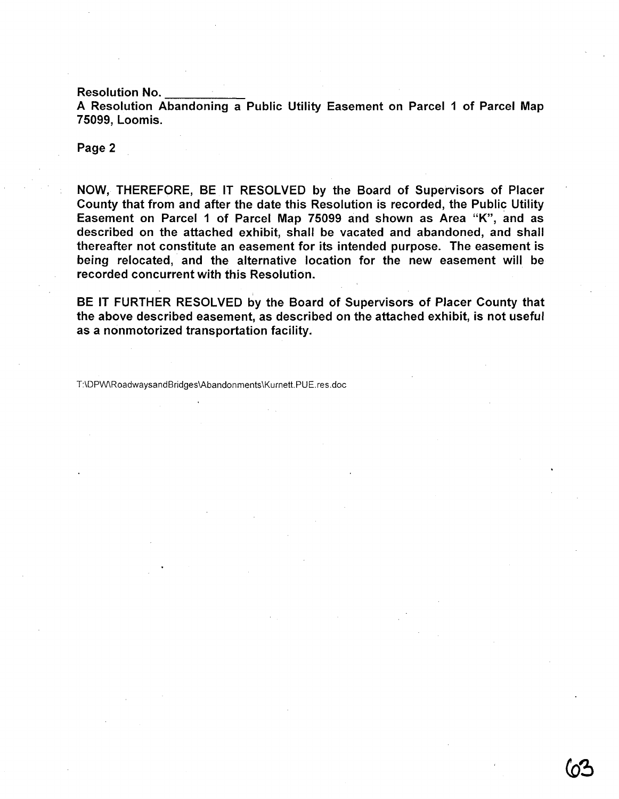Resolution No. \_\_\_\_\_\_\_\_\_\_\_\_\_\_<br>A Resolution Abandoning a Public Utility Easement on Parcel 1 of Parcel Map 75099, Loomis.

### Page 2

NOW, THEREFORE, BE IT RESOLVED by the Board of Supervisors of Placer County that from and after the date this Resolution is recorded, the Public Utility Easement on Parcel 1 of Parcel Map 75099 and shown as Area "K", and as described on the attached exhibit, shall be vacated and abandoned, and shall thereafter not constitute an easement for its intended purpose. The easement is being relocated, and the alternative location for the new easement will be recorded concurrent with this Resolution.

BE IT FURTHER RESOLVED by the Board of Supervisors of Placer County that the above described easement, as described on the attached exhibit, is not useful as a nonmotorized transportation facility.

T:\DPW\RoadwaysandBridges\Abandonments\Kurnett.PUE.res.doc